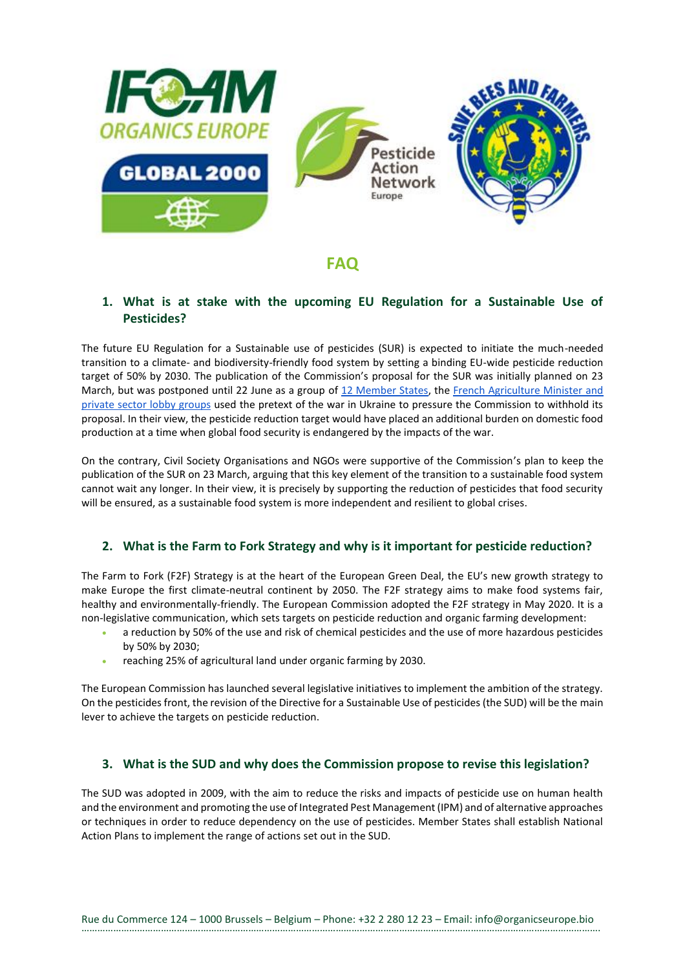

# **FAQ**

## **1. What is at stake with the upcoming EU Regulation for a Sustainable Use of Pesticides?**

The future EU Regulation for a Sustainable use of pesticides (SUR) is expected to initiate the much-needed transition to a climate- and biodiversity-friendly food system by setting a binding EU-wide pesticide reduction target of 50% by 2030. The publication of the Commission's proposal for the SUR was initially planned on 23 March, but was postponed until 22 June as a group of 12 Member States, the French Agriculture Minister and private sector lobby groups used the pretext of the war in Ukraine to pressure the Commission to withhold its proposal. In their view, the pesticide reduction target would have placed an additional burden on domestic food production at a time when global food security is endangered by the impacts of the war.

On the contrary, Civil Society Organisations and NGOs were supportive of the Commission's plan to keep the publication of the SUR on 23 March, arguing that this key element of the transition to a sustainable food system cannot wait any longer. In their view, it is precisely by supporting the reduction of pesticides that food security will be ensured, as a sustainable food system is more independent and resilient to global crises.

## **2. What is the Farm to Fork Strategy and why is it important for pesticide reduction?**

The Farm to Fork (F2F) Strategy is at the heart of the European Green Deal, the EU's new growth strategy to make Europe the first climate-neutral continent by 2050. The F2F strategy aims to make food systems fair, healthy and environmentally-friendly. The European Commission adopted the F2F strategy in May 2020. It is a non-legislative communication, which sets targets on pesticide reduction and organic farming development:

- a reduction by 50% of the use and risk of chemical pesticides and the use of more hazardous pesticides by 50% by 2030;
- reaching 25% of agricultural land under organic farming by 2030.

The European Commission has launched several legislative initiatives to implement the ambition of the strategy. On the pesticides front, the revision of the Directive for a Sustainable Use of pesticides (the SUD) will be the main lever to achieve the targets on pesticide reduction.

## **3. What is the SUD and why does the Commission propose to revise this legislation?**

The SUD was adopted in 2009, with the aim to reduce the risks and impacts of pesticide use on human health and the environment and promoting the use of Integrated Pest Management (IPM) and of alternative approaches or techniques in order to reduce dependency on the use of pesticides. Member States shall establish National Action Plans to implement the range of actions set out in the SUD.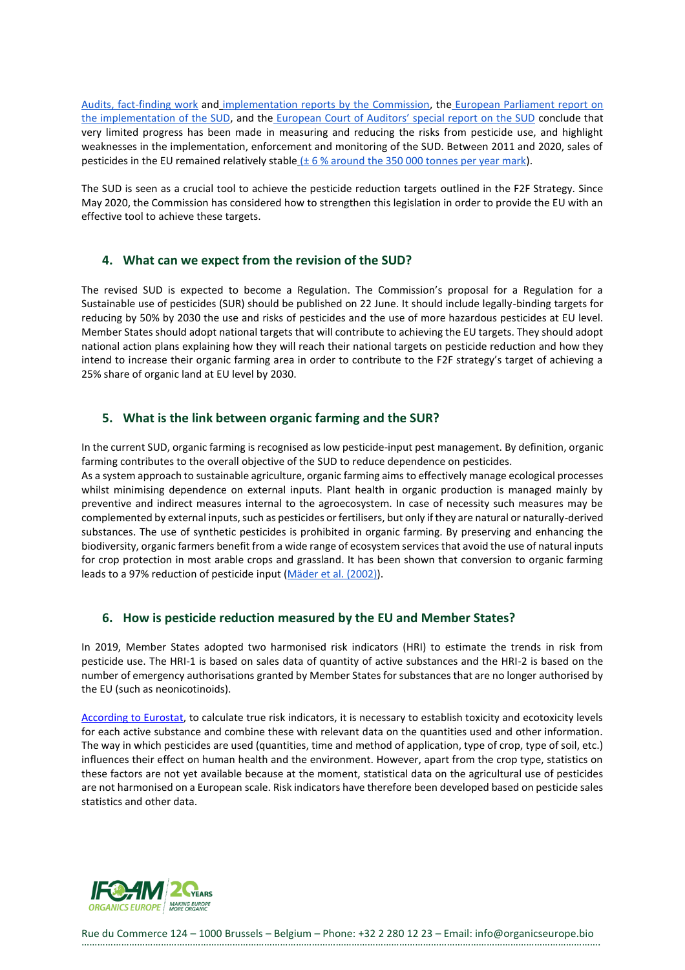[Audits, fact-finding work](https://ec.europa.eu/food/horizontal-topics/official-controls-and-enforcement/health-and-food-audits-and-analysis_en) and [implementation reports by the Commission,](https://ec.europa.eu/food/plants/pesticides/sustainable-use-pesticides_en#reports-from-the-commission) the [European Parliament report on](https://www.europarl.europa.eu/doceo/document/TA-8-2019-0082_EN.html)  [the implementation of the SUD,](https://www.europarl.europa.eu/doceo/document/TA-8-2019-0082_EN.html) and the [European Court of Auditors' special report on the SUD](https://www.eca.europa.eu/Lists/ECADocuments/SR20_05/SR_Pesticides_EN.pdf) conclude that very limited progress has been made in measuring and reducing the risks from pesticide use, and highlight weaknesses in the implementation, enforcement and monitoring of the SUD. Between 2011 and 2020, sales of pesticides in the EU remained relatively stable  $(± 6 % around the 350 000 tonnes per year mark).$  $(± 6 % around the 350 000 tonnes per year mark).$ 

The SUD is seen as a crucial tool to achieve the pesticide reduction targets outlined in the F2F Strategy. Since May 2020, the Commission has considered how to strengthen this legislation in order to provide the EU with an effective tool to achieve these targets.

#### **4. What can we expect from the revision of the SUD?**

The revised SUD is expected to become a Regulation. The Commission's proposal for a Regulation for a Sustainable use of pesticides (SUR) should be published on 22 June. It should include legally-binding targets for reducing by 50% by 2030 the use and risks of pesticides and the use of more hazardous pesticides at EU level. Member States should adopt national targets that will contribute to achieving the EU targets. They should adopt national action plans explaining how they will reach their national targets on pesticide reduction and how they intend to increase their organic farming area in order to contribute to the F2F strategy's target of achieving a 25% share of organic land at EU level by 2030.

#### **5. What is the link between organic farming and the SUR?**

In the current SUD, organic farming is recognised as low pesticide-input pest management. By definition, organic farming contributes to the overall objective of the SUD to reduce dependence on pesticides. As a system approach to sustainable agriculture, organic farming aims to effectively manage ecological processes whilst minimising dependence on external inputs. Plant health in organic production is managed mainly by preventive and indirect measures internal to the agroecosystem. In case of necessity such measures may be complemented by external inputs, such as pesticides or fertilisers, but only if they are natural or naturally-derived substances. The use of synthetic pesticides is prohibited in organic farming. By preserving and enhancing the biodiversity, organic farmers benefit from a wide range of ecosystem services that avoid the use of natural inputs for crop protection in most arable crops and grassland. It has been shown that conversion to organic farming leads to a 97% reduction of pesticide input [\(Mäder et al. \(2002\)\)](https://www.researchgate.net/publication/11333301_Soil_Fertility_and_Biodiversity_in_Organic_Farming_Science).

## **6. How is pesticide reduction measured by the EU and Member States?**

In 2019, Member States adopted two harmonised risk indicators (HRI) to estimate the trends in risk from pesticide use. The HRI-1 is based on sales data of quantity of active substances and the HRI-2 is based on the number of emergency authorisations granted by Member States for substances that are no longer authorised by the EU (such as neonicotinoids).

[According to Eurostat,](https://ec.europa.eu/eurostat/statistics-explained/index.php?title=Agri-environmental_indicator_-_consumption_of_pesticides#Key_messages) to calculate true risk indicators, it is necessary to establish toxicity and ecotoxicity levels for each active substance and combine these with relevant data on the quantities used and other information. The way in which pesticides are used (quantities, time and method of application, type of crop, type of soil, etc.) influences their effect on human health and the environment. However, apart from the crop type, statistics on these factors are not yet available because at the moment, statistical data on the agricultural use of pesticides are not harmonised on a European scale. Risk indicators have therefore been developed based on pesticide sales statistics and other data.



Rue du Commerce 124 – 1000 Brussels – Belgium – Phone: +32 2 280 12 23 – Email: info@organicseurope.bio …………………………………………………………………………………………………………………………………………………………………………….